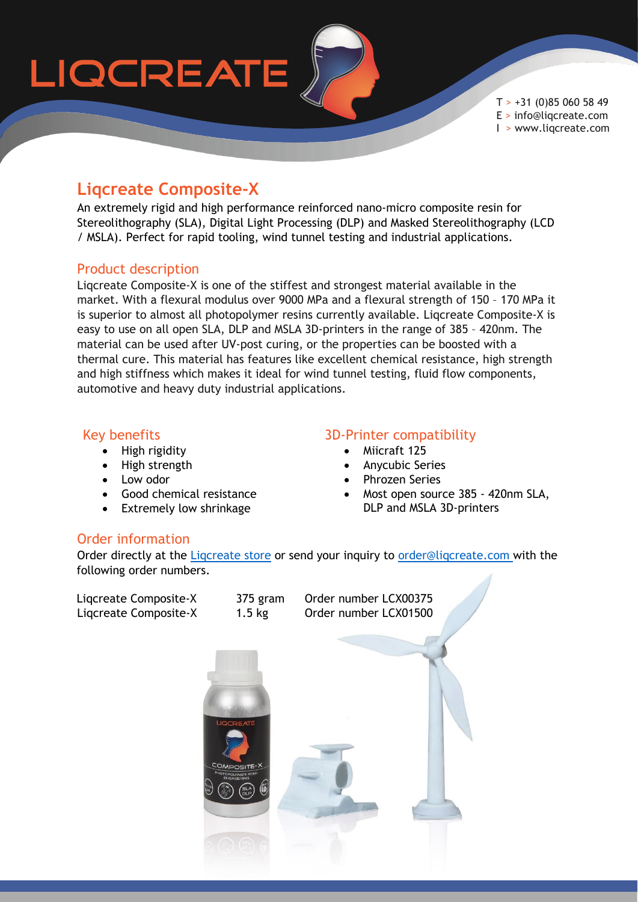# LIQCREATE

 $T > +31$  (0)85 060 58 49 E > info@liqcreate.com I > www.liqcreate.com

## **Liqcreate Composite-X**

An extremely rigid and high performance reinforced nano-micro composite resin for Stereolithography (SLA), Digital Light Processing (DLP) and Masked Stereolithography (LCD / MSLA). Perfect for rapid tooling, wind tunnel testing and industrial applications.

#### Product description

Liqcreate Composite-X is one of the stiffest and strongest material available in the market. With a flexural modulus over 9000 MPa and a flexural strength of 150 – 170 MPa it is superior to almost all photopolymer resins currently available. Liqcreate Composite-X is easy to use on all open SLA, DLP and MSLA 3D-printers in the range of 385 – 420nm. The material can be used after UV-post curing, or the properties can be boosted with a thermal cure. This material has features like excellent chemical resistance, high strength and high stiffness which makes it ideal for wind tunnel testing, fluid flow components, automotive and heavy duty industrial applications.

#### Key benefits

- High rigidity
- High strength
- Low odor
- Good chemical resistance
- Extremely low shrinkage

### 3D-Printer compatibility

- Miicraft 125
- Anycubic Series
- Phrozen Series
- Most open source 385 420nm SLA, DLP and MSLA 3D-printers

## Order information

Order directly at the Ligcreate store or send your inquiry to order@ligcreate.com with the following order numbers.

| Liqcreate Composite-X<br>Liqcreate Composite-X | 375 gram<br>$1.5$ kg                                          | Order number LCX00375<br>Order number LCX01500 |  |
|------------------------------------------------|---------------------------------------------------------------|------------------------------------------------|--|
|                                                |                                                               |                                                |  |
|                                                |                                                               |                                                |  |
|                                                | <b>LIQCREATE</b><br>COMPOSITE-X<br>ENGINEERING<br>ENGINEERING |                                                |  |